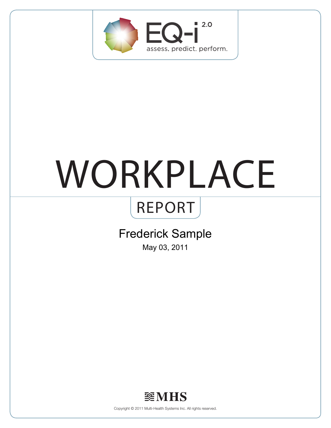

# WORKPLACE

## REPORT

## Frederick Sample

May 03, 2011



Copyright © 2011 Multi-Health Systems Inc. All rights reserved.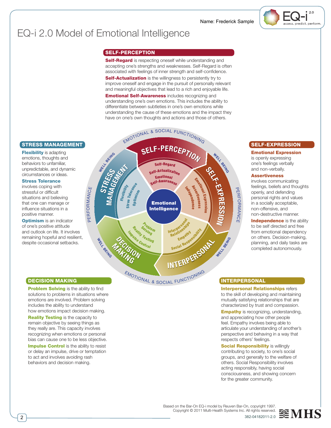

## EQ-i 2.0 Model of Emotional Intelligence

#### SELF-PERCEPTION

Self-Regard is respecting oneself while understanding and accepting one's strengths and weaknesses. Self-Regard is often associated with feelings of inner strength and self-confidence. **Self-Actualization** is the willingness to persistently try to improve oneself and engage in the pursuit of personally relevant and meaningful objectives that lead to a rich and enjoyable life. **Emotional Self-Awareness** includes recognizing and understanding one's own emotions. This includes the ability to differentiate between subtleties in one's own emotions while understanding the cause of these emotions and the impact they have on one's own thoughts and actions and those of others.

#### STRESS MANAGEMENT

**Flexibility** is adapting emotions, thoughts and behaviors to unfamiliar, unpredictable, and dynamic circumstances or ideas.

#### Stress Tolerance

involves coping with stressful or difficult situations and believing that one can manage or influence situations in a positive manner.

**Optimism** is an indicator of one's positive attitude and outlook on life. It involves remaining hopeful and resilient, despite occasional setbacks.



#### SELF-EXPRESSION

Emotional Expression is openly expressing one's feelings verbally and non-verbally.

#### **Assertiveness**

involves communicating feelings, beliefs and thoughts openly, and defending personal rights and values in a socially acceptable, non-offensive, and non-destructive manner.

**Independence** is the ability to be self directed and free from emotional dependency on others. Decision-making, planning, and daily tasks are completed autonomously.

#### INTERPERSONAL

Interpersonal Relationships refers to the skill of developing and maintaining mutually satisfying relationships that are characterized by trust and compassion.

**Empathy** is recognizing, understanding, and appreciating how other people feel. Empathy involves being able to articulate your understanding of another's perspective and behaving in a way that respects others' feelings.

**Social Responsibility** is willingly contributing to society, to one's social groups, and generally to the welfare of others. Social Responsibility involves acting responsibly, having social consciousness, and showing concern for the greater community.

#### DECISION MAKING

**Problem Solving** is the ability to find solutions to problems in situations where emotions are involved. Problem solving includes the ability to understand how emotions impact decision making. **Reality Testing is the capacity to** remain objective by seeing things as they really are. This capacity involves recognizing when emotions or personal bias can cause one to be less objective. **Impulse Control** is the ability to resist or delay an impulse, drive or temptation to act and involves avoiding rash behaviors and decision making.



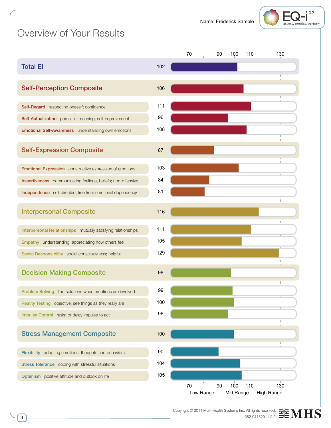Name: Frederick Sample



## Overview of Your Results

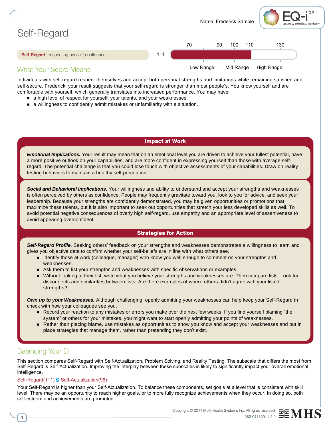

Individuals with self-regard respect themselves and accept both personal strengths and limitations while remaining satisfied and self-secure. Frederick, your result suggests that your self-regard is stronger than most people's. You know yourself and are comfortable with yourself, which generally translates into increased performance. You may have:

- a high level of respect for yourself, your talents, and your weaknesses.
- n a willingness to confidently admit mistakes or unfamiliarity with a situation.

#### Impact at Work

*Emotional Implications.* Your result may mean that on an emotional level you are driven to achieve your fullest potential, have a more positive outlook on your capabilities, and are more confident in expressing yourself than those with average selfregard. The potential challenge is that you could lose touch with objective assessments of your capabilities. Draw on reality testing behaviors to maintain a healthy self-perception.

*Social and Behavioral Implications.* Your willingness and ability to understand and accept your strengths and weaknesses is often perceived by others as confidence. People may frequently gravitate toward you, look to you for advice, and seek your leadership. Because your strengths are confidently demonstrated, you may be given opportunities or promotions that maximize these talents, but it is also important to seek out opportunities that stretch your less developed skills as well. To avoid potential negative consequences of overly high self-regard, use empathy and an appropriate level of assertiveness to avoid appearing overconfident.

#### Strategies for Action

*Self-Regard Profile.* Seeking others' feedback on your strengths and weaknesses demonstrates a willingness to learn and gives you objective data to confirm whether your self-beliefs are in line with what others see.

- **n** Identify those at work (colleague, manager) who know you well enough to comment on your strengths and weaknesses.
- n Ask them to list your strengths and weaknesses with specific observations or examples.
- n Without looking at their list, write what you believe your strengths and weaknesses are. Then compare lists. Look for disconnects and similarities between lists. Are there examples of where others didn't agree with your listed strengths?

*Own up to your Weaknesses.* Although challenging, openly admitting your weaknesses can help keep your Self-Regard in check with how your colleagues see you.

- n Record your reaction to any mistakes or errors you make over the next few weeks. If you find yourself blaming "the system" or others for your mistakes, you might want to start openly admitting your points of weaknesses.
- n Rather than placing blame, use mistakes as opportunities to show you know and accept your weaknesses and put in place strategies that manage them, rather than pretending they don't exist.

#### Balancing Your EI

This section compares Self-Regard with Self-Actualization, Problem Solving, and Reality Testing. The subscale that differs the most from Self-Regard is Self-Actualization. Improving the interplay between these subscales is likely to significantly impact your overall emotional intelligence.

#### Self-Regard(111) <sup>S</sup> Self-Actualization(96)

Your Self-Regard is higher than your Self-Actualization. To balance these components, set goals at a level that is consistent with skill level. There may be an opportunity to reach higher goals, or to more fully recognize achievements when they occur. In doing so, both self-esteem and achievements are promoted.



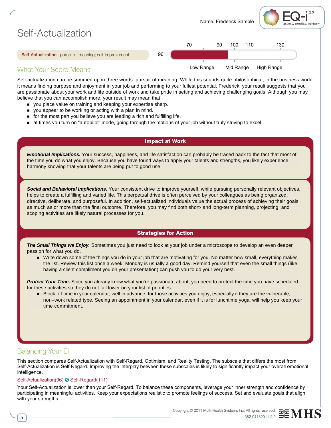

Self-actualization can be summed up in three words: pursuit of meaning. While this sounds quite philosophical, in the business world it means finding purpose and enjoyment in your job and performing to your fullest potential. Frederick, your result suggests that you are passionate about your work and life outside of work and take pride in setting and achieving challenging goals. Although you may believe that you can accomplish more, your result may mean that:

- vou place value on training and keeping your expertise sharp.
- n you appear to be working or acting with a plan in mind.
- n for the most part you believe you are leading a rich and fulfilling life.
- n at times you turn on "autopilot" mode, going through the motions of your job without truly striving to excel.

#### Impact at Work

*Emotional Implications.* Your success, happiness, and life satisfaction can probably be traced back to the fact that most of the time you do what you enjoy. Because you have found ways to apply your talents and strengths, you likely experience harmony knowing that your talents are being put to good use.

*Social and Behavioral Implications.* Your consistent drive to improve yourself, while pursuing personally relevant objectives, helps to create a fulfilling and varied life. This perpetual drive is often perceived by your colleagues as being organized, directive, deliberate, and purposeful. In addition, self-actualized individuals value the actual process of achieving their goals as much as or more than the final outcome. Therefore, you may find both short- and long-term planning, projecting, and scoping activities are likely natural processes for you.

#### Strategies for Action

*The Small Things we Enjoy.* Sometimes you just need to look at your job under a microscope to develop an even deeper passion for what you do.

n Write down some of the things you do in your job that are motivating for you. No matter how small, everything makes the list. Review this list once a week; Monday is usually a good day. Remind yourself that even the small things (like having a client compliment you on your presentation) can push you to do your very best.

**Protect Your Time.** Since you already know what you're passionate about, you need to protect the time you have scheduled for these activities so they do not fall lower on your list of priorities.

■ Block off time in your calendar, well in advance, for those activities you enjoy, especially if they are the vulnerable, non–work related type. Seeing an appointment in your calendar, even if it is for lunchtime yoga, will help you keep your time commitment.

#### Balancing Your EI

This section compares Self-Actualization with Self-Regard, Optimism, and Reality Testing. The subscale that differs the most from Self-Actualization is Self-Regard. Improving the interplay between these subscales is likely to significantly impact your overall emotional intelligence.

#### Self-Actualization(96) <sup>S</sup> Self-Regard(111)

Your Self-Actualization is lower than your Self-Regard. To balance these components, leverage your inner strength and confidence by participating in meaningful activities. Keep your expectations realistic to promote feelings of success. Set and evaluate goals that align with your strengths.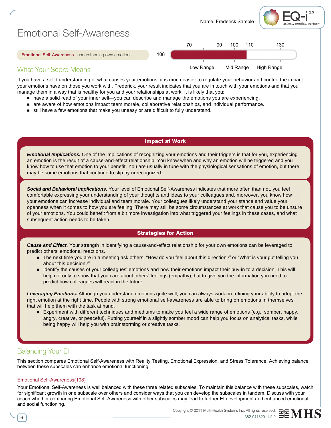

If you have a solid understanding of what causes your emotions, it is much easier to regulate your behavior and control the impact your emotions have on those you work with. Frederick, your result indicates that you are in touch with your emotions and that you manage them in a way that is healthy for you and your relationships at work. It is likely that you:

- n have a solid read of your inner self—you can describe and manage the emotions you are experiencing.
- n are aware of how emotions impact team morale, collaborative relationships, and individual performance.
- still have a few emotions that make you uneasy or are difficult to fully understand.

#### Impact at Work

*Emotional Implications.* One of the implications of recognizing your emotions and their triggers is that for you, experiencing an emotion is the result of a cause-and-effect relationship. You know when and why an emotion will be triggered and you know how to use that emotion to your benefit. You are usually in tune with the physiological sensations of emotion, but there may be some emotions that continue to slip by unrecognized.

*Social and Behavioral Implications.* Your level of Emotional Self-Awareness indicates that more often than not, you feel comfortable expressing your understanding of your thoughts and ideas to your colleagues and, moreover, you know how your emotions can increase individual and team morale. Your colleagues likely understand your stance and value your openness when it comes to how you are feeling. There may still be some circumstances at work that cause you to be unsure of your emotions. You could benefit from a bit more investigation into what triggered your feelings in these cases, and what subsequent action needs to be taken.

#### Strategies for Action

*Cause and Effect.* Your strength in identifying a cause-and-effect relationship for your own emotions can be leveraged to predict others' emotional reactions.

- The next time you are in a meeting ask others, "How do you feel about this direction?" or "What is your gut telling you about this decision?"
- n Identify the causes of your colleagues' emotions and how their emotions impact their buy-in to a decision. This will help not only to show that you care about others' feelings (empathy), but to give you the information you need to predict how colleagues will react in the future.

*Leveraging Emotions.* Although you understand emotions quite well, you can always work on refining your ability to adopt the right emotion at the right time. People with strong emotional self-awareness are able to bring on emotions in themselves that will help them with the task at hand.

■ Experiment with different techniques and mediums to make you feel a wide range of emotions (e.g., somber, happy, angry, creative, or peaceful). Putting yourself in a slightly somber mood can help you focus on analytical tasks, while being happy will help you with brainstorming or creative tasks.

#### Balancing Your EI

This section compares Emotional Self-Awareness with Reality Testing, Emotional Expression, and Stress Tolerance. Achieving balance between these subscales can enhance emotional functioning.

#### Emotional Self-Awareness(108)

Your Emotional Self-Awareness is well balanced with these three related subscales. To maintain this balance with these subscales, watch for significant growth in one subscale over others and consider ways that you can develop the subscales in tandem. Discuss with your coach whether comparing Emotional Self-Awareness with other subscales may lead to further EI development and enhanced emotional and social functioning.



6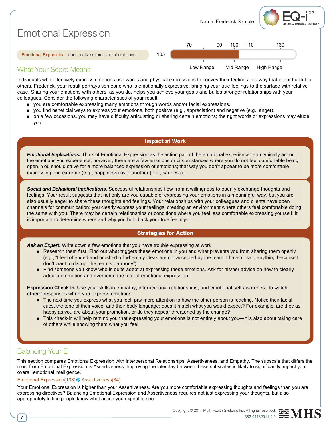

#### What Your Score Means

Individuals who effectively express emotions use words and physical expressions to convey their feelings in a way that is not hurtful to others. Frederick, your result portrays someone who is emotionally expressive, bringing your true feelings to the surface with relative ease. Sharing your emotions with others, as you do, helps you achieve your goals and builds stronger relationships with your colleagues. Consider the following characteristics of your result:

- n you are comfortable expressing many emotions through words and/or facial expressions.
- n you find beneficial ways to express your emotions, both positive (e.g., appreciation) and negative (e.g., anger).
- n on a few occasions, you may have difficulty articulating or sharing certain emotions; the right words or expressions may elude you.

#### Impact at Work

*Emotional Implications.* Think of Emotional Expression as the action part of the emotional experience. You typically act on the emotions you experience; however, there are a few emotions or circumstances where you do not feel comfortable being open. You should strive for a more balanced expression of emotions; that way you don't appear to be more comfortable expressing one extreme (e.g., happiness) over another (e.g., sadness).

*Social and Behavioral Implications.* Successful relationships flow from a willingness to openly exchange thoughts and feelings. Your result suggests that not only are you capable of expressing your emotions in a meaningful way, but you are also usually eager to share these thoughts and feelings. Your relationships with your colleagues and clients have open channels for communication; you clearly express your feelings, creating an environment where others feel comfortable doing the same with you. There may be certain relationships or conditions where you feel less comfortable expressing yourself; it is important to determine where and why you hold back your true feelings.

#### Strategies for Action

Ask an Expert. Write down a few emotions that you have trouble expressing at work.

- n Research them first. Find out what triggers these emotions in you and what prevents you from sharing them openly (e.g., "I feel offended and brushed off when my ideas are not accepted by the team. I haven't said anything because I don't want to disrupt the team's harmony").
- Find someone you know who is quite adept at expressing these emotions. Ask for his/her advice on how to clearly articulate emotion and overcome the fear of emotional expression.

**Expression Check-In.** Use your skills in empathy, interpersonal relationships, and emotional self-awareness to watch others' responses when you express emotions.

- The next time you express what you feel, pay more attention to how the other person is reacting. Notice their facial cues, the tone of their voice, and their body language; does it match what you would expect? For example, are they as happy as you are about your promotion, or do they appear threatened by the change?
- This check-in will help remind you that expressing your emotions is not entirely about you—it is also about taking care of others while showing them what you feel!

#### Balancing Your EI

This section compares Emotional Expression with Interpersonal Relationships, Assertiveness, and Empathy. The subscale that differs the most from Emotional Expression is Assertiveness. Improving the interplay between these subscales is likely to significantly impact your overall emotional intelligence.

#### Emotional Expression(103) Assertiveness(84)

Your Emotional Expression is higher than your Assertiveness. Are you more comfortable expressing thoughts and feelings than you are expressing directives? Balancing Emotional Expression and Assertiveness requires not just expressing your thoughts, but also appropriately letting people know what action you expect to see.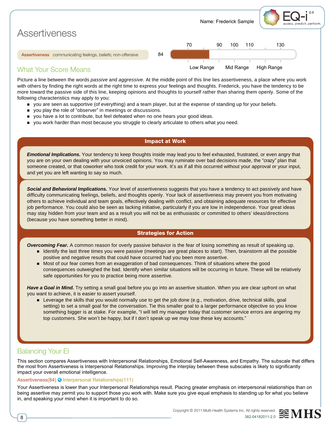

#### Picture a line between the words *passive* and *aggressive*. At the middle point of this line lies assertiveness, a place where you work with others by finding the right words at the right time to express your feelings and thoughts. Frederick, you have the tendency to be more toward the passive side of this line, keeping opinions and thoughts to yourself rather than sharing them openly. Some of the following characteristics may apply to you:

- n you are seen as supportive (of everything) and a team player, but at the expense of standing up for your beliefs.
- n you play the role of "observer" in meetings or discussions.
- n you have a lot to contribute, but feel defeated when no one hears your good ideas.
- **n** you work harder than most because you struggle to clearly articulate to others what you need.

#### Impact at Work

*Emotional Implications.* Your tendency to keep thoughts inside may lead you to feel exhausted, frustrated, or even angry that you are on your own dealing with your unvoiced opinions. You may ruminate over bad decisions made, the "crazy" plan that someone created, or that coworker who took credit for your work. It's as if all this occurred without your approval or your input, and yet you are left wanting to say so much.

*Social and Behavioral Implications.* Your level of assertiveness suggests that you have a tendency to act passively and have difficulty communicating feelings, beliefs, and thoughts openly. Your lack of assertiveness may prevent you from motivating others to achieve individual and team goals, effectively dealing with conflict, and obtaining adequate resources for effective job performance. You could also be seen as lacking initiative, particularly if you are low in independence. Your great ideas may stay hidden from your team and as a result you will not be as enthusiastic or committed to others' ideas/directions (because you have something better in mind).

#### Strategies for Action

*Overcoming Fear.* A common reason for overly passive behavior is the fear of losing something as result of speaking up.

- n Identify the last three times you were passive (meetings are great places to start). Then, brainstorm all the possible positive and negative results that could have occurred had you been more assertive.
- n Most of our fear comes from an exaggeration of bad consequences. Think of situations where the good consequences outweighed the bad. Identify when similar situations will be occurring in future. These will be relatively safe opportunities for you to practice being more assertive.

*Have a Goal in Mind.* Try setting a small goal before you go into an assertive situation. When you are clear upfront on what you want to achieve, it is easier to assert yourself.

**n** Leverage the skills that you would normally use to get the job done (e.g., motivation, drive, technical skills, goal setting) to set a small goal for the conversation. Tie this smaller goal to a larger performance objective so you know something bigger is at stake. For example, "I will tell my manager today that customer service errors are angering my top customers. She won't be happy, but if I don't speak up we may lose these key accounts."

#### Balancing Your EI

This section compares Assertiveness with Interpersonal Relationships, Emotional Self-Awareness, and Empathy, The subscale that differs the most from Assertiveness is Interpersonal Relationships. Improving the interplay between these subscales is likely to significantly impact your overall emotional intelligence.

#### Assertiveness(84) **&** Interpersonal Relationships(111)

Your Assertiveness is lower than your Interpersonal Relationships result. Placing greater emphasis on interpersonal relationships than on being assertive may permit you to support those you work with. Make sure you give equal emphasis to standing up for what you believe in, and speaking your mind when it is important to do so.

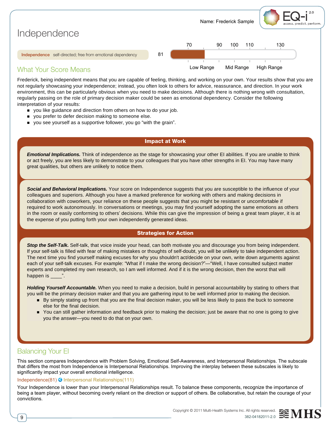

Frederick, being independent means that you are capable of feeling, thinking, and working on your own. Your results show that you are not regularly showcasing your independence; instead, you often look to others for advice, reassurance, and direction. In your work environment, this can be particularly obvious when you need to make decisions. Although there is nothing wrong with consultation, regularly passing on the role of primary decision maker could be seen as emotional dependency. Consider the following interpretation of your results:

- you like guidance and direction from others on how to do your job.
- **n** you prefer to defer decision making to someone else.
- n you see yourself as a supportive follower, you go "with the grain".

#### Impact at Work

*Emotional Implications.* Think of independence as the stage for showcasing your other EI abilities. If you are unable to think or act freely, you are less likely to demonstrate to your colleagues that you have other strengths in EI. You may have many great qualities, but others are unlikely to notice them.

*Social and Behavioral Implications.* Your score on Independence suggests that you are susceptible to the influence of your colleagues and superiors. Although you have a marked preference for working with others and making decisions in collaboration with coworkers, your reliance on these people suggests that you might be resistant or uncomfortable if required to work autonomously. In conversations or meetings, you may find yourself adopting the same emotions as others in the room or easily conforming to others' decisions. While this can give the impression of being a great team player, it is at the expense of you putting forth your own independently generated ideas.

#### Strategies for Action

*Stop the Self-Talk.* Self-talk, that voice inside your head, can both motivate you and discourage you from being independent. If your self-talk is filled with fear of making mistakes or thoughts of self-doubt, you will be unlikely to take independent action. The next time you find yourself making excuses for why you shouldn't act/decide on your own, write down arguments against each of your self-talk excuses. For example: "What if I make the wrong decision?"—"Well, I have consulted subject matter experts and completed my own research, so I am well informed. And if it is the wrong decision, then the worst that will happen is  $\overline{\phantom{a}}$ ".

*Holding Yourself Accountable.* When you need to make a decision, build in personal accountability by stating to others that you will be the primary decision maker and that you are gathering input to be well informed prior to making the decision.

- n By simply stating up front that you are the final decision maker, you will be less likely to pass the buck to someone else for the final decision.
- You can still gather information and feedback prior to making the decision; just be aware that no one is going to give you the answer—you need to do that on your own.

#### Balancing Your EI

This section compares Independence with Problem Solving, Emotional Self-Awareness, and Interpersonal Relationships. The subscale that differs the most from Independence is Interpersonal Relationships. Improving the interplay between these subscales is likely to significantly impact your overall emotional intelligence.

#### Independence(81) <sup>&</sup> Interpersonal Relationships(111)

Your Independence is lower than your Interpersonal Relationships result. To balance these components, recognize the importance of being a team player, without becoming overly reliant on the direction or support of others. Be collaborative, but retain the courage of your convictions.

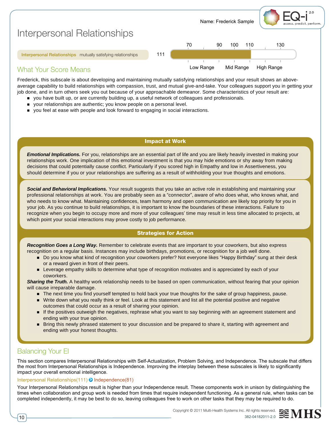

Frederick, this subscale is about developing and maintaining mutually satisfying relationships and your result shows an aboveaverage capability to build relationships with compassion, trust, and mutual give-and-take. Your colleagues support you in getting your job done, and in turn others seek you out because of your approachable demeanor. Some characteristics of your result are:

- n you have built up, or are currently building up, a useful network of colleagues and professionals.
- your relationships are authentic; you know people on a personal level.
- n you feel at ease with people and look forward to engaging in social interactions.

#### Impact at Work

*Emotional Implications.* For you, relationships are an essential part of life and you are likely heavily invested in making your relationships work. One implication of this emotional investment is that you may hide emotions or shy away from making decisions that could potentially cause conflict. Particularly if you scored high in Empathy and low in Assertiveness, you should determine if you or your relationships are suffering as a result of withholding your true thoughts and emotions.

*Social and Behavioral Implications.* Your result suggests that you take an active role in establishing and maintaining your professional relationships at work. You are probably seen as a "connector", aware of who does what, who knows what, and who needs to know what. Maintaining confidences, team harmony and open communication are likely top priority for you in your job. As you continue to build relationships, it is important to know the boundaries of these interactions. Failure to recognize when you begin to occupy more and more of your colleagues' time may result in less time allocated to projects, at which point your social interactions may prove costly to job performance.

#### Strategies for Action

*Recognition Goes a Long Way.* Remember to celebrate events that are important to your coworkers, but also express recognition on a regular basis. Instances may include birthdays, promotions, or recognition for a job well done.

- n Do you know what kind of recognition your coworkers prefer? Not everyone likes "Happy Birthday" sung at their desk or a reward given in front of their peers.
- **EXECTED EXECTED EXECTED EXECTED** Every and is appreciated by each of your coworkers.

**Sharing the Truth.** A healthy work relationship needs to be based on open communication, without fearing that your opinion will cause irreparable damage.

- The next time you find yourself tempted to hold back your true thoughts for the sake of group happiness, pause.
- n Write down what you really think or feel. Look at this statement and list all the potential positive and negative outcomes that could occur as a result of sharing your opinion.
- n If the positives outweigh the negatives, rephrase what you want to say beginning with an agreement statement and ending with your true opinion.
- **n** Bring this newly phrased statement to your discussion and be prepared to share it, starting with agreement and ending with your honest thoughts.

#### Balancing Your EI

This section compares Interpersonal Relationships with Self-Actualization, Problem Solving, and Independence. The subscale that differs the most from Interpersonal Relationships is Independence. Improving the interplay between these subscales is likely to significantly impact your overall emotional intelligence.

#### Interpersonal Relationships(111) Independence(81)

Your Interpersonal Relationships result is higher than your Independence result. These components work in unison by distinguishing the times when collaboration and group work is needed from times that require independent functioning. As a general rule, when tasks can be completed independently, it may be best to do so, leaving colleagues free to work on other tasks that they may be required to do.



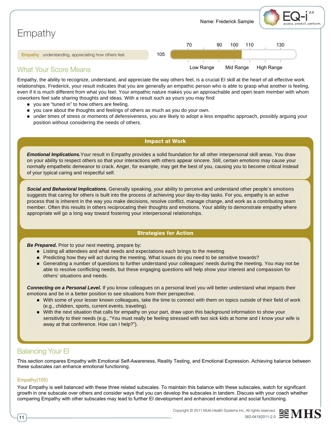

Empathy, the ability to recognize, understand, and appreciate the way others feel, is a crucial EI skill at the heart of all effective work relationships. Frederick, your result indicates that you are generally an empathic person who is able to grasp what another is feeling, even if it is much different from what you feel. Your empathic nature makes you an approachable and open team member with whom coworkers feel safe sharing thoughts and ideas. With a result such as yours you may find:

- you are "tuned in" to how others are feeling.
- n you care about the thoughts and feelings of others as much as you do your own.
- n under times of stress or moments of defensiveness, you are likely to adopt a less empathic approach, possibly arguing your position without considering the needs of others.

#### Impact at Work

*Emotional Implications.*Your result in Empathy provides a solid foundation for all other interpersonal skill areas. You draw on your ability to respect others so that your interactions with others appear sincere. Still, certain emotions may cause your normally empathetic demeanor to crack. Anger, for example, may get the best of you, causing you to become critical instead of your typical caring and respectful self.

*Social and Behavioral Implications.* Generally speaking, your ability to perceive and understand other people's emotions suggests that caring for others is built into the process of achieving your day-to-day tasks. For you, empathy is an active process that is inherent in the way you make decisions, resolve conflict, manage change, and work as a contributing team member. Often this results in others reciprocating their thoughts and emotions. Your ability to demonstrate empathy where appropriate will go a long way toward fostering your interpersonal relationships.

#### Strategies for Action

**Be Prepared.** Prior to your next meeting, prepare by:

- n Listing all attendees and what needs and expectations each brings to the meeting
- n Predicting how they will act during the meeting. What issues do you need to be sensitive towards?
- n Generating a number of questions to further understand your colleagues' needs during the meeting. You may not be able to resolve conflicting needs, but these engaging questions will help show your interest and compassion for others' situations and needs.

*Connecting on a Personal Level.* If you know colleagues on a personal level you will better understand what impacts their emotions and be in a better position to see situations from their perspective.

- n With some of your lesser known colleagues, take the time to connect with them on topics outside of their field of work (e.g., children, sports, current events, traveling).
- n With the next situation that calls for empathy on your part, draw upon this background information to show your sensitivity to their needs (e.g., "You must really be feeling stressed with two sick kids at home and I know your wife is away at that conference. How can I help?").

#### Balancing Your EI

This section compares Empathy with Emotional Self-Awareness, Reality Testing, and Emotional Expression. Achieving balance between these subscales can enhance emotional functioning.

#### Empathy(105)

Your Empathy is well balanced with these three related subscales. To maintain this balance with these subscales, watch for significant growth in one subscale over others and consider ways that you can develop the subscales in tandem. Discuss with your coach whether comparing Empathy with other subscales may lead to further EI development and enhanced emotional and social functioning.

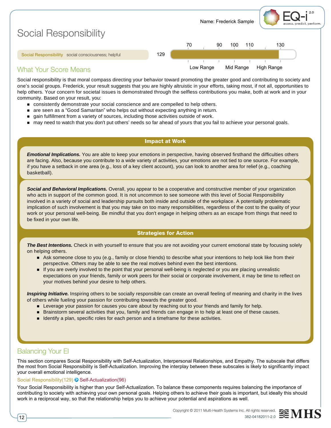

Social responsibility is that moral compass directing your behavior toward promoting the greater good and contributing to society and one's social groups. Frederick, your result suggests that you are highly altruistic in your efforts, taking most, if not all, opportunities to help others. Your concern for societal issues is demonstrated through the selfless contributions you make, both at work and in your community. Based on your result, you:

- n consistently demonstrate your social conscience and are compelled to help others.
- are seen as a "Good Samaritan" who helps out without expecting anything in return.
- gain fulfillment from a variety of sources, including those activities outside of work.
- n may need to watch that you don't put others' needs so far ahead of yours that you fail to achieve your personal goals.

#### Impact at Work

*Emotional Implications.* You are able to keep your emotions in perspective, having observed firsthand the difficulties others are facing. Also, because you contribute to a wide variety of activities, your emotions are not tied to one source. For example, if you have a setback in one area (e.g., loss of a key client account), you can look to another area for relief (e.g., coaching basketball).

*Social and Behavioral Implications.* Overall, you appear to be a cooperative and constructive member of your organization who acts in support of the common good. It is not uncommon to see someone with this level of Social Responsibility involved in a variety of social and leadership pursuits both inside and outside of the workplace. A potentially problematic implication of such involvement is that you may take on too many responsibilities, regardless of the cost to the quality of your work or your personal well-being. Be mindful that you don't engage in helping others as an escape from things that need to be fixed in your own life.

#### Strategies for Action

**The Best Intentions.** Check in with yourself to ensure that you are not avoiding your current emotional state by focusing solely on helping others.

- n Ask someone close to you (e.g., family or close friends) to describe what your intentions to help look like from their perspective. Others may be able to see the real motives behind even the best intentions.
- n If you are overly involved to the point that your personal well-being is neglected or you are placing unrealistic expectations on your friends, family or work peers for their social or corporate involvement, it may be time to reflect on your motives behind your desire to help others.

*Inspiring Initiative.* Inspiring others to be socially responsible can create an overall feeling of meaning and charity in the lives of others while fueling your passion for contributing towards the greater good.

- **Example your passion for causes you care about by reaching out to your friends and family for help.**
- n Brainstorm several activities that you, family and friends can engage in to help at least one of these causes.
- n Identify a plan, specific roles for each person and a timeframe for these activities.

#### Balancing Your EI

This section compares Social Responsibility with Self-Actualization, Interpersonal Relationships, and Empathy, The subscale that differs the most from Social Responsibility is Self-Actualization. Improving the interplay between these subscales is likely to significantly impact your overall emotional intelligence.

#### Social Responsibility(129) <sup>S</sup> Self-Actualization(96)

Your Social Responsibility is higher than your Self-Actualization. To balance these components requires balancing the importance of contributing to society with achieving your own personal goals. Helping others to achieve their goals is important, but ideally this should work in a reciprocal way, so that the relationship helps you to achieve your potential and aspirations as well.

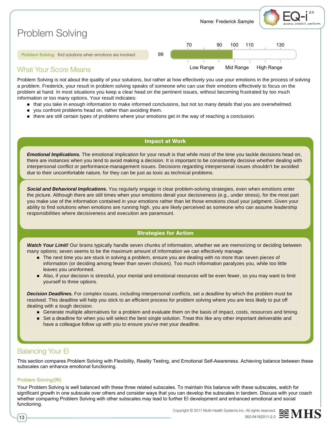

Problem Solving is not about the quality of your solutions, but rather at how effectively you use your emotions in the process of solving a problem. Frederick, your result in problem solving speaks of someone who can use their emotions effectively to focus on the problem at hand. In most situations you keep a clear head on the pertinent issues, without becoming frustrated by too much information or too many options. Your result indicates:

- n that you take in enough information to make informed conclusions, but not so many details that you are overwhelmed.
- vou confront problems head on, rather than avoiding them.
- n there are still certain types of problems where your emotions get in the way of reaching a conclusion.

#### Impact at Work

*Emotional Implications.* The emotional implication for your result is that while most of the time you tackle decisions head on, there are instances when you tend to avoid making a decision. It is important to be consistently decisive whether dealing with interpersonal conflict or performance-management issues. Decisions regarding interpersonal issues shouldn't be avoided due to their uncomfortable nature, for they can be just as toxic as technical problems.

*Social and Behavioral Implications.* You regularly engage in clear problem-solving strategies, even when emotions enter the picture. Although there are still times when your emotions derail your decisiveness (e.g., under stress), for the most part you make use of the information contained in your emotions rather than let those emotions cloud your judgment. Given your ability to find solutions when emotions are running high, you are likely perceived as someone who can assume leadership responsibilities where decisiveness and execution are paramount.

#### Strategies for Action

*Watch Your Limit!* Our brains typically handle seven chunks of information, whether we are memorizing or deciding between many options; seven seems to be the maximum amount of information we can effectively manage.

- n The next time you are stuck in solving a problem, ensure you are dealing with no more than seven pieces of information (or deciding among fewer than seven choices). Too much information paralyzes you, while too little leaves you uninformed.
- n Also, if your decision is stressful, your mental and emotional resources will be even fewer, so you may want to limit yourself to three options.

*Decision Deadlines.* For complex issues, including interpersonal conflicts, set a deadline by which the problem must be resolved. This deadline will help you stick to an efficient process for problem solving where you are less likely to put off dealing with a tough decision.

- n Generate multiple alternatives for a problem and evaluate them on the basis of impact, costs, resources and timing.
- Set a deadline for when you will select the best single solution. Treat this like any other important deliverable and have a colleague follow up with you to ensure you've met your deadline.

#### Balancing Your EI

This section compares Problem Solving with Flexibility, Reality Testing, and Emotional Self-Awareness. Achieving balance between these subscales can enhance emotional functioning.

#### Problem Solving(99)

Your Problem Solving is well balanced with these three related subscales. To maintain this balance with these subscales, watch for significant growth in one subscale over others and consider ways that you can develop the subscales in tandem. Discuss with your coach whether comparing Problem Solving with other subscales may lead to further EI development and enhanced emotional and social functioning.



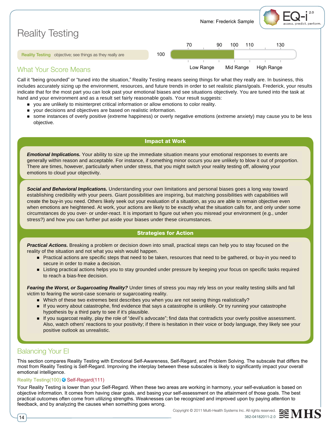|                                                                 |     | Name: Frederick Sample<br>assess. predict. perform. |
|-----------------------------------------------------------------|-----|-----------------------------------------------------|
| <b>Reality Testing</b>                                          |     | 70<br>130<br>90<br>100<br>110                       |
| <b>Reality Testing</b> objective; see things as they really are | 100 |                                                     |
| <b>What Your Score Means</b>                                    |     | High Range<br>Mid Range<br>Low Range                |

#### Call it "being grounded" or "tuned into the situation," Reality Testing means seeing things for what they really are. In business, this includes accurately sizing up the environment, resources, and future trends in order to set realistic plans/goals. Frederick, your results indicate that for the most part you can look past your emotional biases and see situations objectively. You are tuned into the task at hand and your environment and as a result set fairly reasonable goals. Your result suggests:

- n you are unlikely to misinterpret critical information or allow emotions to color reality.
- n your decisions and objectives are based on realistic information.
- n some instances of overly positive (extreme happiness) or overly negative emotions (extreme anxiety) may cause you to be less objective.

#### Impact at Work

*Emotional Implications.* Your ability to size up the immediate situation means your emotional responses to events are generally within reason and acceptable. For instance, if something minor occurs you are unlikely to blow it out of proportion. There are times, however, particularly when under stress, that you might switch your reality testing off, allowing your emotions to cloud your objectivity.

*Social and Behavioral Implications.* Understanding your own limitations and personal biases goes a long way toward establishing credibility with your peers. Giant possibilities are inspiring, but matching possibilities with capabilities will create the buy-in you need. Others likely seek out your evaluation of a situation, as you are able to remain objective even when emotions are heightened. At work, your actions are likely to be exactly what the situation calls for, and only under some circumstances do you over- or under-react. It is important to figure out when you misread your environment (e.g., under stress?) and how you can further put aside your biases under these circumstances.

#### Strategies for Action

*Practical Actions.* Breaking a problem or decision down into small, practical steps can help you to stay focused on the reality of the situation and not what you wish would happen.

- n Practical actions are specific steps that need to be taken, resources that need to be gathered, or buy-in you need to secure in order to make a decision.
- **Example 2** Listing practical actions helps you to stay grounded under pressure by keeping your focus on specific tasks required to reach a bias-free decision.

*Fearing the Worst, or Sugarcoating Reality?* Under times of stress you may rely less on your reality testing skills and fall victim to fearing the worst-case scenario or sugarcoating reality.

- Which of these two extremes best describes you when you are not seeing things realistically?
- n If you worry about catastrophe, find evidence that says a catastrophe is unlikely. Or try running your catastrophe hypothesis by a third party to see if it's plausible.
- n If you sugarcoat reality, play the role of "devil's advocate"; find data that contradicts your overly positive assessment. Also, watch others' reactions to your positivity; if there is hesitation in their voice or body language, they likely see your positive outlook as unrealistic.

#### Balancing Your EI

This section compares Reality Testing with Emotional Self-Awareness, Self-Regard, and Problem Solving. The subscale that differs the most from Reality Testing is Self-Regard. Improving the interplay between these subscales is likely to significantly impact your overall emotional intelligence.

#### Reality Testing(100) <sup>S</sup> Self-Regard(111)

Your Reality Testing is lower than your Self-Regard. When these two areas are working in harmony, your self-evaluation is based on objective information. It comes from having clear goals, and basing your self-assessment on the attainment of those goals. The best practical outcomes often come from utilizing strengths. Weaknesses can be recognized and improved upon by paying attention to feedback, and by analyzing the causes when something goes wrong.

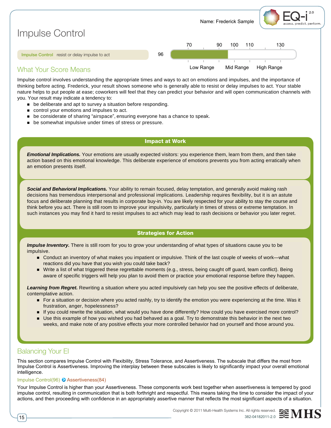

Impulse control involves understanding the appropriate times and ways to act on emotions and impulses, and the importance of thinking before acting. Frederick, your result shows someone who is generally able to resist or delay impulses to act. Your stable nature helps to put people at ease; coworkers will feel that they can predict your behavior and will open communication channels with you. Your result may indicate a tendency to:

- $\blacksquare$  be deliberate and apt to survey a situation before responding.
- control your emotions and impulses to act.
- **n** be considerate of sharing "airspace", ensuring everyone has a chance to speak.
- n be somewhat impulsive under times of stress or pressure.

#### Impact at Work

*Emotional Implications.* Your emotions are usually expected visitors: you experience them, learn from them, and then take action based on this emotional knowledge. This deliberate experience of emotions prevents you from acting erratically when an emotion presents itself.

*Social and Behavioral Implications.* Your ability to remain focused, delay temptation, and generally avoid making rash decisions has tremendous interpersonal and professional implications. Leadership requires flexibility, but it is an astute focus and deliberate planning that results in corporate buy-in. You are likely respected for your ability to stay the course and think before you act. There is still room to improve your impulsivity, particularly in times of stress or extreme temptation. In such instances you may find it hard to resist impulses to act which may lead to rash decisions or behavior you later regret.

#### Strategies for Action

*Impulse Inventory.* There is still room for you to grow your understanding of what types of situations cause you to be impulsive.

- Conduct an inventory of what makes you impatient or impulsive. Think of the last couple of weeks of work—what reactions did you have that you wish you could take back?
- n Write a list of what triggered these regrettable moments (e.g., stress, being caught off guard, team conflict). Being aware of specific triggers will help you plan to avoid them or practice your emotional response before they happen.

*Learning from Regret.* Rewriting a situation where you acted impulsively can help you see the positive effects of deliberate, contemplative action.

- For a situation or decision where you acted rashly, try to identify the emotion you were experiencing at the time. Was it frustration, anger, hopelessness?
- n If you could rewrite the situation, what would you have done differently? How could you have exercised more control?
- **Dead It Use this example of how you wished you had behaved as a goal. Try to demonstrate this behavior in the next two** weeks, and make note of any positive effects your more controlled behavior had on yourself and those around you.

#### Balancing Your EI

This section compares Impulse Control with Flexibility, Stress Tolerance, and Assertiveness. The subscale that differs the most from Impulse Control is Assertiveness. Improving the interplay between these subscales is likely to significantly impact your overall emotional intelligence.

#### Impulse Control(96) Assertiveness(84)

Your Impulse Control is higher than your Assertiveness. These components work best together when assertiveness is tempered by good impulse control, resulting in communication that is both forthright and respectful. This means taking the time to consider the impact of your actions, and then proceeding with confidence in an appropriately assertive manner that reflects the most significant aspects of a situation.

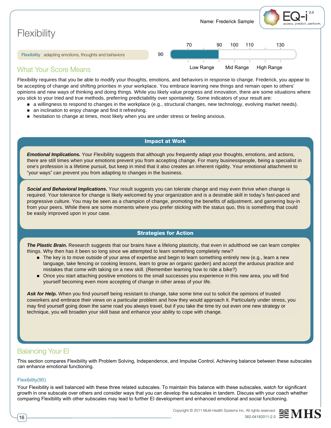

Flexibility requires that you be able to modify your thoughts, emotions, and behaviors in response to change. Frederick, you appear to be accepting of change and shifting priorities in your workplace. You embrace learning new things and remain open to others' opinions and new ways of thinking and doing things. While you likely value progress and innovation, there are some situations where you stick to your tried and true methods, preferring predictability over spontaneity. Some indicators of your result are:

- n a willingness to respond to changes in the workplace (e.g., structural changes, new technology, evolving market needs).
- n an inclination to enjoy change and find it refreshing.
- n hesitation to change at times, most likely when you are under stress or feeling anxious.

#### Impact at Work

*Emotional Implications.* Your Flexibility suggests that although you frequently adapt your thoughts, emotions, and actions, there are still times when your emotions prevent you from accepting change. For many businesspeople, being a specialist in one's profession is a lifetime pursuit, but keep in mind that it also creates an inherent rigidity. Your emotional attachment to "your ways" can prevent you from adapting to changes in the business.

*Social and Behavioral Implications.* Your result suggests you can tolerate change and may even thrive when change is required. Your tolerance for change is likely welcomed by your organization and is a desirable skill in today's fast-paced and progressive culture. You may be seen as a champion of change, promoting the benefits of adjustment, and garnering buy-in from your peers. While there are some moments where you prefer sticking with the status quo, this is something that could be easily improved upon in your case.

#### Strategies for Action

*The Plastic Brain.* Research suggests that our brains have a lifelong plasticity, that even in adulthood we can learn complex things. Why then has it been so long since we attempted to learn something completely new?

- The key is to move outside of your area of expertise and begin to learn something entirely new (e.g., learn a new language, take fencing or cooking lessons, learn to grow an organic garden) and accept the arduous practice and mistakes that come with taking on a new skill. (Remember learning how to ride a bike?)
- n Once you start attaching positive emotions to the small successes you experience in this new area, you will find yourself becoming even more accepting of change in other areas of your life.

Ask for Help. When you find yourself being resistant to change, take some time out to solicit the opinions of trusted coworkers and embrace their views on a particular problem and how they would approach it. Particularly under stress, you may find yourself going down the same road you always travel, but if you take the time try out even one new strategy or technique, you will broaden your skill base and enhance your ability to cope with change.

#### Balancing Your EI

This section compares Flexibility with Problem Solving, Independence, and Impulse Control. Achieving balance between these subscales can enhance emotional functioning.

#### Flexibility(90)

Your Flexibility is well balanced with these three related subscales. To maintain this balance with these subscales, watch for significant growth in one subscale over others and consider ways that you can develop the subscales in tandem. Discuss with your coach whether comparing Flexibility with other subscales may lead to further EI development and enhanced emotional and social functioning.

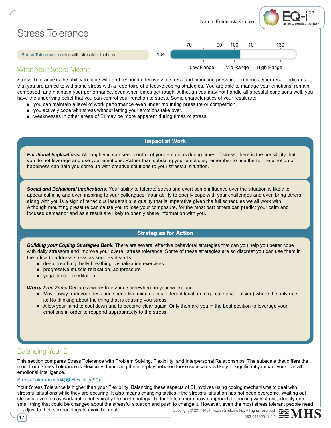

Stress Tolerance is the ability to cope with and respond effectively to stress and mounting pressure. Frederick, your result indicates that you are armed to withstand stress with a repertoire of effective coping strategies. You are able to manage your emotions, remain composed, and maintain your performance, even when times get rough. Although you may not handle all stressful conditions well, you have the underlying belief that you can control your reaction to stress. Some characteristics of your result are:

- n you can maintain a level of work performance even under mounting pressure or competition.
- n you actively cope with stress without letting your emotions take over.
- weaknesses in other areas of EI may be more apparent during times of stress.

#### Impact at Work

*Emotional Implications.* Although you can keep control of your emotions during times of stress, there is the possibility that you do not leverage and use your emotions. Rather than subduing your emotions, remember to use them. The emotion of happiness can help you come up with creative solutions to your stressful situation.

*Social and Behavioral Implications.* Your ability to tolerate stress and exert some influence over the situation is likely to appear calming and even inspiring to your colleagues. Your ability to openly cope with your challenges and even bring others along with you is a sign of tenacious leadership, a quality that is imperative given the full schedules we all work with. Although mounting pressure can cause you to lose your composure, for the most part others can predict your calm and focused demeanor and as a result are likely to openly share information with you.

#### Strategies for Action

*Building your Coping Strategies Bank.* There are several effective behavioral strategies that can you help you better cope with daily stressors and improve your overall stress tolerance. Some of these strategies are so discreet you can use them in the office to address stress as soon as it starts:

- $\blacksquare$  deep breathing, belly breathing, visualization exercises
- **n** progressive muscle relaxation, acupressure
- voga, tai chi, meditation

*Worry-Free Zone.* Declare a worry-free zone somewhere in your workplace.

- n Move away from your desk and spend five minutes in a different location (e.g., cafeteria, outside) where the only rule is: No thinking about the thing that is causing you stress.
- n Allow your mind to cool down and to become clear again. Only then are you in the best position to leverage your emotions in order to respond appropriately to the stress.

#### Balancing Your EI

This section compares Stress Tolerance with Problem Solving, Flexibility, and Interpersonal Relationships. The subscale that differs the most from Stress Tolerance is Flexibility. Improving the interplay between these subscales is likely to significantly impact your overall emotional intelligence.

#### Stress Tolerance(104) <sup>●</sup> Flexibility(90)

Copyright © 2011 Multi-Health Systems Inc. All rights reserved. Your Stress Tolerance is higher than your Flexibility. Balancing these aspects of EI involves using coping mechanisms to deal with stressful situations while they are occuring. It also means changing tactics if the stressful situation has not been overcome. Waiting out stressful events may work but is not typically the best strategy. To facilitate a more active approach to dealing with stress, identify one small thing that could be changed about the stressful situation and push to change it. However, even the most stress tolerant people need to adjust to their surroundings to avoid burnout.

17  $\sim$  382-04182011-2.0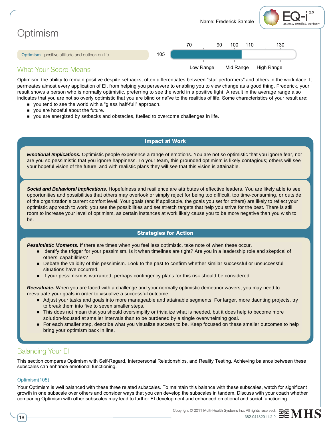

Optimism, the ability to remain positive despite setbacks, often differentiates between "star performers" and others in the workplace. It permeates almost every application of EI, from helping you persevere to enabling you to view change as a good thing. Frederick, your result shows a person who is normally optimistic, preferring to see the world in a positive light. A result in the average range also indicates that you are not so overly optimistic that you are blind or naïve to the realities of life. Some characteristics of your result are:

- n you tend to see the world with a "glass half-full" approach.
- vou are hopeful about the future.
- n you are energized by setbacks and obstacles, fuelled to overcome challenges in life.

#### Impact at Work

*Emotional Implications.* Optimistic people experience a range of emotions. You are not so optimistic that you ignore fear, nor are you so pessimistic that you ignore happiness. To your team, this grounded optimism is likely contagious; others will see your hopeful vision of the future, and with realistic plans they will see that this vision is attainable.

*Social and Behavioral Implications.* Hopefulness and resilience are attributes of effective leaders. You are likely able to see opportunities and possibilities that others may overlook or simply reject for being too difficult, too time-consuming, or outside of the organization's current comfort level. Your goals (and if applicable, the goals you set for others) are likely to reflect your optimistic approach to work; you see the possibilities and set stretch targets that help you strive for the best. There is still room to increase your level of optimism, as certain instances at work likely cause you to be more negative than you wish to be.

#### Strategies for Action

*Pessimistic Moments.* If there are times when you feel less optimistic, take note of when these occur.

- Identify the trigger for your pessimism. Is it when timelines are tight? Are you in a leadership role and skeptical of others' capabilities?
- **Debate the validity of this pessimism. Look to the past to confirm whether similar successful or unsuccessful** situations have occurred.
- n If your pessimism is warranted, perhaps contingency plans for this risk should be considered.

*Reevaluate.* When you are faced with a challenge and your normally optimistic demeanor wavers, you may need to reevaluate your goals in order to visualize a successful outcome.

- n Adjust your tasks and goals into more manageable and attainable segments. For larger, more daunting projects, try to break them into five to seven smaller steps.
- n This does not mean that you should oversimplify or trivialize what is needed, but it does help to become more solution-focused at smaller intervals than to be burdened by a single overwhelming goal.
- n For each smaller step, describe what you visualize success to be. Keep focused on these smaller outcomes to help bring your optimism back in line.

#### Balancing Your EI

This section compares Optimism with Self-Regard, Interpersonal Relationships, and Reality Testing. Achieving balance between these subscales can enhance emotional functioning.

#### Optimism(105)

Your Optimism is well balanced with these three related subscales. To maintain this balance with these subscales, watch for significant growth in one subscale over others and consider ways that you can develop the subscales in tandem. Discuss with your coach whether comparing Optimism with other subscales may lead to further EI development and enhanced emotional and social functioning.

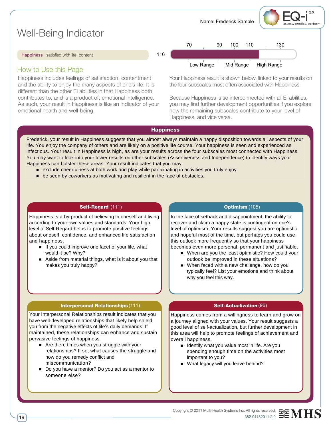Name: Frederick Sample assess. predict. perform Well-Being Indicator 70 90 100 110 130 116 Happiness satisfied with life; content

#### How to Use this Page

Happiness includes feelings of satisfaction, contentment and the ability to enjoy the many aspects of one's life. It is different than the other EI abilities in that Happiness both contributes to, and is a product of, emotional intelligence. As such, your result in Happiness is like an indicator of your emotional health and well-being.



Your Happiness result is shown below, linked to your results on the four subscales most often associated with Happiness.

Because Happiness is so interconnected with all EI abilities, you may find further development opportunities if you explore how the remaining subscales contribute to your level of Happiness, and vice versa.

#### **Happiness**

Frederick, your result in Happiness suggests that you almost always maintain a happy disposition towards all aspects of your life. You enjoy the company of others and are likely on a positive life course. Your happiness is seen and experienced as infectious. Your result in Happiness is high, as are your results across the four subscales most connected with Happiness. You may want to look into your lower results on other subscales (Assertiveness and Independence) to identify ways your Happiness can bolster these areas. Your result indicates that you may:

- n exclude cheerfulness at both work and play while participating in activities you truly enjoy.
- **n** be seen by coworkers as motivating and resilient in the face of obstacles.

#### Self-Regard (111) **Self-Regard (111) Self-Regard (111)**

Happiness is a by-product of believing in oneself and living according to your own values and standards. Your high level of Self-Regard helps to promote positive feelings about oneself, confidence, and enhanced life satisfaction and happiness.

- n If you could improve one facet of your life, what would it be? Why?
- n Aside from material things, what is it about you that makes you truly happy?

#### **Optimism (105)**

In the face of setback and disappointment, the ability to recover and claim a happy state is contingent on one's level of optimism. Your results suggest you are optimistic and hopeful most of the time, but perhaps you could use this outlook more frequently so that your happiness becomes even more personal, permanent and justifiable.

- When are you the least optimistic? How could your outlook be improved in these situations?
- When faced with a new challenge, how do you typically feel? List your emotions and think about why you feel this way.

#### Interpersonal Relationships (111) **Contract Contract Self-Actualization**

Your Interpersonal Relationships result indicates that you have well-developed relationships that likely help shield you from the negative effects of life's daily demands. If maintained, these relationships can enhance and sustain pervasive feelings of happiness.

- Are there times when you struggle with your relationships? If so, what causes the struggle and how do you remedy conflict and miscommunication?
- Do you have a mentor? Do you act as a mentor to someone else?

#### **Self-Actualization (96)**

Happiness comes from a willingness to learn and grow on a journey aligned with your values. Your result suggests a good level of self-actualization, but further development in this area will help to promote feelings of achievement and overall happiness.

- $\blacksquare$  Identify what you value most in life. Are you spending enough time on the activities most important to you?
- What legacy will you leave behind?
- Copyright © 2011 Multi-Health Systems Inc. All rights reserved. 19 382041820112.0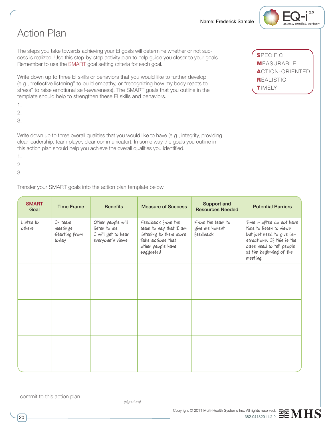## Action Plan

The steps you take towards achieving your EI goals will determine whether or not success is realized. Use this step-by-step activity plan to help guide you closer to your goals. Remember to use the SMART goal setting criteria for each goal.

Write down up to three EI skills or behaviors that you would like to further develop (e.g., "reflective listening" to build empathy, or "recognizing how my body reacts to stress" to raise emotional self-awareness). The SMART goals that you outline in the template should help to strengthen these EI skills and behaviors.

- 1.
- 2.
- 3.

Write down up to three overall qualities that you would like to have (e.g., integrity, providing clear leadership, team player, clear communicator). In some way the goals you outline in this action plan should help you achieve the overall qualities you identified.

1.

2.

3.

Transfer your SMART goals into the action plan template below.

| <b>SMART</b><br>Goal | <b>Time Frame</b>                             | <b>Benefits</b>                                                             | <b>Measure of Success</b>                                                                                                     | Support and<br><b>Resources Needed</b>         | <b>Potential Barriers</b>                                                                                                                                                        |
|----------------------|-----------------------------------------------|-----------------------------------------------------------------------------|-------------------------------------------------------------------------------------------------------------------------------|------------------------------------------------|----------------------------------------------------------------------------------------------------------------------------------------------------------------------------------|
| Listen to<br>others  | In team<br>meetings<br>Starting from<br>today | Other people will<br>listen to me<br>I will get to hear<br>everyone's views | Feedback from the<br>team to say that $I$ am<br>listening to them more<br>Take actions that<br>other people have<br>suggested | From the team to<br>give me honest<br>feedback | Time - often do not have<br>time to listen to views<br>but just need to give in-<br>structions. If this is the<br>case need to tell people<br>at the beginning of the<br>meeting |
|                      |                                               |                                                                             |                                                                                                                               |                                                |                                                                                                                                                                                  |
|                      |                                               |                                                                             |                                                                                                                               |                                                |                                                                                                                                                                                  |
|                      |                                               |                                                                             |                                                                                                                               |                                                |                                                                                                                                                                                  |



 $2.0$ 

assess. predict. perform

SPECIFIC **MEASURABLE**